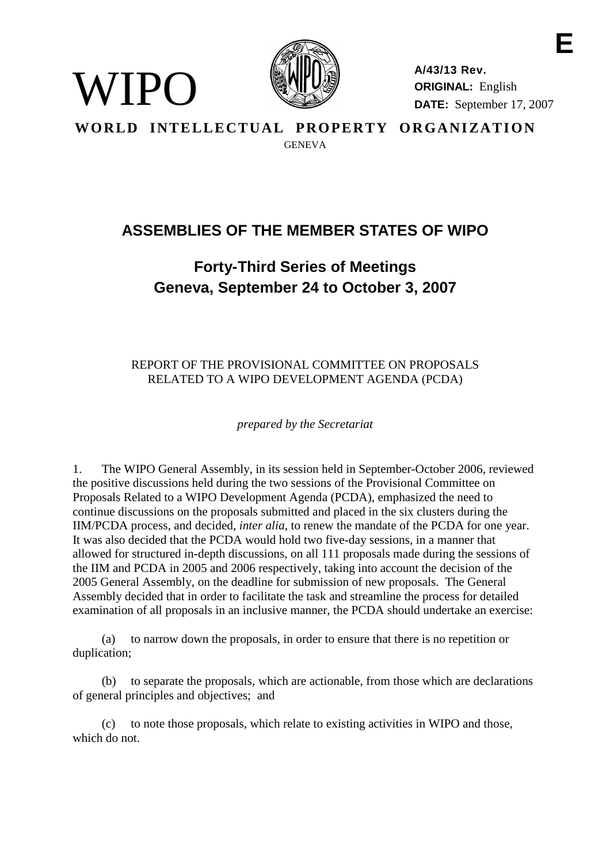

WIPO

**A/43/13 Rev. ORIGINAL:** English **DATE:** September 17, 2007

**E**

WORLD INTELLECTUAL PROPERTY ORGANIZATION GENEVA

# **ASSEMBLIES OF THE MEMBER STATES OF WIPO**

# **Forty-Third Series of Meetings Geneva, September 24 to October 3, 2007**

## REPORT OF THE PROVISIONAL COMMITTEE ON PROPOSALS RELATED TO A WIPO DEVELOPMENT AGENDA (PCDA)

*prepared by the Secretariat*

1. The WIPO General Assembly, in its session held in September-October 2006, reviewed the positive discussions held during the two sessions of the Provisional Committee on Proposals Related to a WIPO Development Agenda (PCDA), emphasized the need to continue discussions on the proposals submitted and placed in the six clusters during the IIM/PCDA process, and decided, *inter alia*, to renew the mandate of the PCDA for one year. It was also decided that the PCDA would hold two five-day sessions, in a manner that allowed for structured in-depth discussions, on all 111 proposals made during the sessions of the IIM and PCDA in 2005 and 2006 respectively, taking into account the decision of the 2005 General Assembly, on the deadline for submission of new proposals. The General Assembly decided that in order to facilitate the task and streamline the process for detailed examination of all proposals in an inclusive manner, the PCDA should undertake an exercise:

(a) to narrow down the proposals, in order to ensure that there is no repetition or duplication;

(b) to separate the proposals, which are actionable, from those which are declarations of general principles and objectives; and

(c) to note those proposals, which relate to existing activities in WIPO and those, which do not.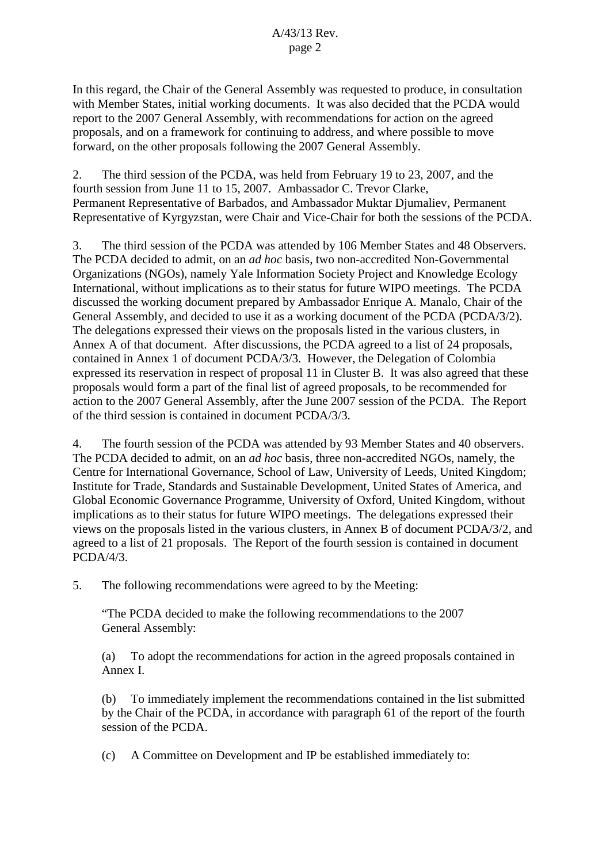In this regard, the Chair of the General Assembly was requested to produce, in consultation with Member States, initial working documents. It was also decided that the PCDA would report to the 2007 General Assembly, with recommendations for action on the agreed proposals, and on a framework for continuing to address, and where possible to move forward, on the other proposals following the 2007 General Assembly.

2. The third session of the PCDA, was held from February 19 to 23, 2007, and the fourth session from June 11 to 15, 2007. Ambassador C. Trevor Clarke, Permanent Representative of Barbados, and Ambassador Muktar Djumaliev, Permanent Representative of Kyrgyzstan, were Chair and Vice-Chair for both the sessions of the PCDA.

3. The third session of the PCDA was attended by 106 Member States and 48 Observers. The PCDA decided to admit, on an *ad hoc* basis, two non-accredited Non-Governmental Organizations (NGOs), namely Yale Information Society Project and Knowledge Ecology International, without implications as to their status for future WIPO meetings. The PCDA discussed the working document prepared by Ambassador Enrique A. Manalo, Chair of the General Assembly, and decided to use it as a working document of the PCDA (PCDA/3/2). The delegations expressed their views on the proposals listed in the various clusters, in Annex A of that document. After discussions, the PCDA agreed to a list of 24 proposals, contained in Annex 1 of document PCDA/3/3. However, the Delegation of Colombia expressed its reservation in respect of proposal 11 in Cluster B. It was also agreed that these proposals would form a part of the final list of agreed proposals, to be recommended for action to the 2007 General Assembly, after the June 2007 session of the PCDA. The Report of the third session is contained in document PCDA/3/3.

4. The fourth session of the PCDA was attended by 93 Member States and 40 observers. The PCDA decided to admit, on an *ad hoc* basis, three non-accredited NGOs, namely, the Centre for International Governance, School of Law, University of Leeds, United Kingdom; Institute for Trade, Standards and Sustainable Development, United States of America, and Global Economic Governance Programme, University of Oxford, United Kingdom, without implications as to their status for future WIPO meetings. The delegations expressed their views on the proposals listed in the various clusters, in Annex B of document PCDA/3/2, and agreed to a list of 21 proposals. The Report of the fourth session is contained in document PCDA/4/3.

5. The following recommendations were agreed to by the Meeting:

"The PCDA decided to make the following recommendations to the 2007 General Assembly:

(a) To adopt the recommendations for action in the agreed proposals contained in Annex I.

(b) To immediately implement the recommendations contained in the list submitted by the Chair of the PCDA, in accordance with paragraph 61 of the report of the fourth session of the PCDA.

(c) A Committee on Development and IP be established immediately to: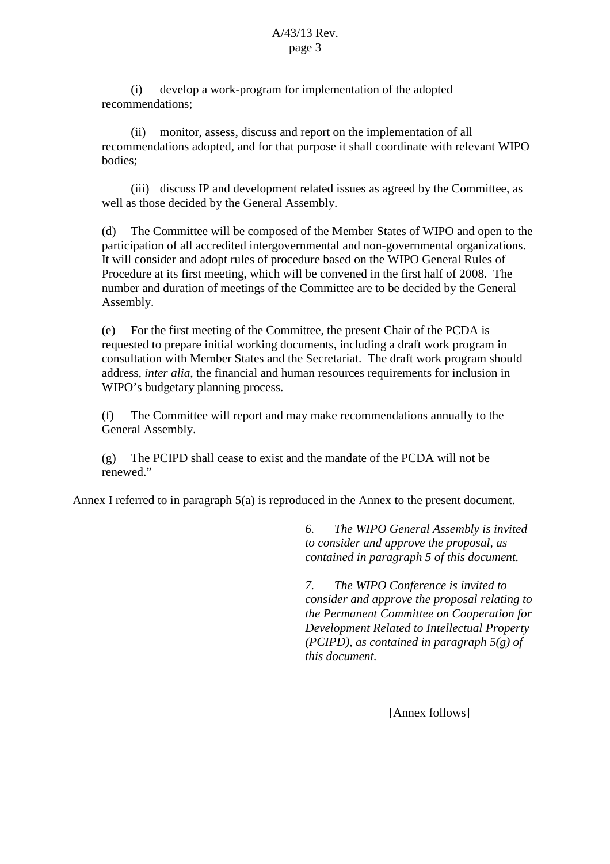(i) develop a work-program for implementation of the adopted recommendations;

(ii) monitor, assess, discuss and report on the implementation of all recommendations adopted, and for that purpose it shall coordinate with relevant WIPO bodies;

(iii) discuss IP and development related issues as agreed by the Committee, as well as those decided by the General Assembly.

(d) The Committee will be composed of the Member States of WIPO and open to the participation of all accredited intergovernmental and non-governmental organizations. It will consider and adopt rules of procedure based on the WIPO General Rules of Procedure at its first meeting, which will be convened in the first half of 2008. The number and duration of meetings of the Committee are to be decided by the General Assembly.

(e) For the first meeting of the Committee, the present Chair of the PCDA is requested to prepare initial working documents, including a draft work program in consultation with Member States and the Secretariat. The draft work program should address*, inter alia*, the financial and human resources requirements for inclusion in WIPO's budgetary planning process.

(f) The Committee will report and may make recommendations annually to the General Assembly.

(g) The PCIPD shall cease to exist and the mandate of the PCDA will not be renewed."

Annex I referred to in paragraph 5(a) is reproduced in the Annex to the present document.

*6. The WIPO General Assembly is invited to consider and approve the proposal, as contained in paragraph 5 of this document.*

*7. The WIPO Conference is invited to consider and approve the proposal relating to the Permanent Committee on Cooperation for Development Related to Intellectual Property (PCIPD), as contained in paragraph 5(g) of this document.* 

[Annex follows]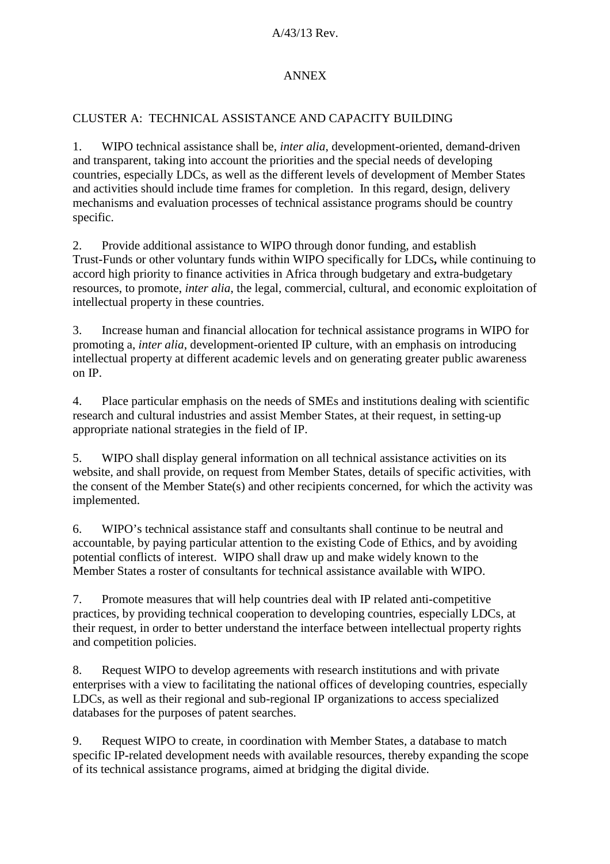#### $A/43/13$  Rev

## ANNEX

## CLUSTER A: TECHNICAL ASSISTANCE AND CAPACITY BUILDING

1. WIPO technical assistance shall be, *inter alia*, development-oriented, demand-driven and transparent, taking into account the priorities and the special needs of developing countries, especially LDCs, as well as the different levels of development of Member States and activities should include time frames for completion. In this regard, design, delivery mechanisms and evaluation processes of technical assistance programs should be country specific.

2. Provide additional assistance to WIPO through donor funding, and establish Trust-Funds or other voluntary funds within WIPO specifically for LDCs**,** while continuing to accord high priority to finance activities in Africa through budgetary and extra-budgetary resources, to promote, *inter alia*, the legal, commercial, cultural, and economic exploitation of intellectual property in these countries.

3. Increase human and financial allocation for technical assistance programs in WIPO for promoting a, *inter alia*, development-oriented IP culture, with an emphasis on introducing intellectual property at different academic levels and on generating greater public awareness on IP.

4. Place particular emphasis on the needs of SMEs and institutions dealing with scientific research and cultural industries and assist Member States, at their request, in setting-up appropriate national strategies in the field of IP.

5. WIPO shall display general information on all technical assistance activities on its website, and shall provide, on request from Member States, details of specific activities, with the consent of the Member State(s) and other recipients concerned, for which the activity was implemented.

6. WIPO's technical assistance staff and consultants shall continue to be neutral and accountable, by paying particular attention to the existing Code of Ethics, and by avoiding potential conflicts of interest. WIPO shall draw up and make widely known to the Member States a roster of consultants for technical assistance available with WIPO.

7. Promote measures that will help countries deal with IP related anti-competitive practices, by providing technical cooperation to developing countries, especially LDCs, at their request, in order to better understand the interface between intellectual property rights and competition policies.

8. Request WIPO to develop agreements with research institutions and with private enterprises with a view to facilitating the national offices of developing countries, especially LDCs, as well as their regional and sub-regional IP organizations to access specialized databases for the purposes of patent searches.

9. Request WIPO to create, in coordination with Member States, a database to match specific IP-related development needs with available resources, thereby expanding the scope of its technical assistance programs, aimed at bridging the digital divide.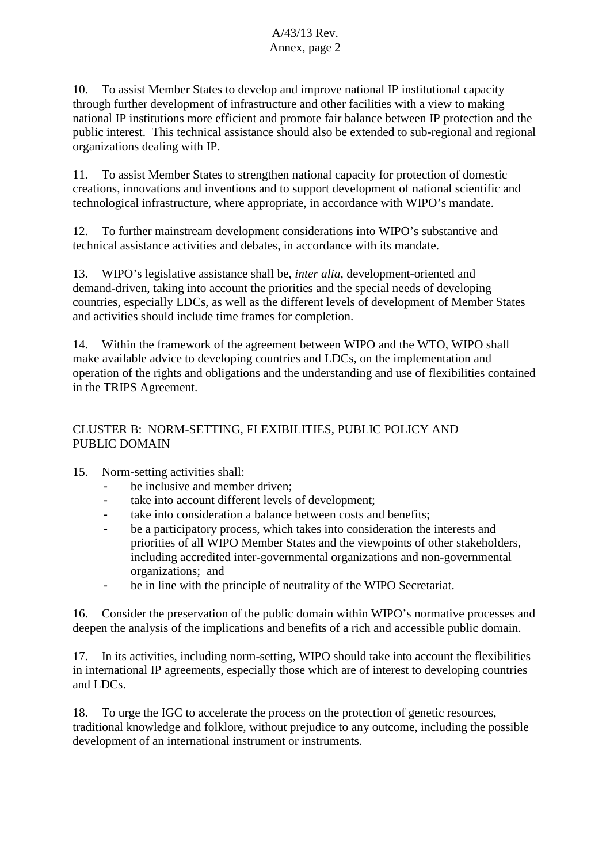10. To assist Member States to develop and improve national IP institutional capacity through further development of infrastructure and other facilities with a view to making national IP institutions more efficient and promote fair balance between IP protection and the public interest. This technical assistance should also be extended to sub-regional and regional organizations dealing with IP.

11. To assist Member States to strengthen national capacity for protection of domestic creations, innovations and inventions and to support development of national scientific and technological infrastructure, where appropriate, in accordance with WIPO's mandate.

12. To further mainstream development considerations into WIPO's substantive and technical assistance activities and debates, in accordance with its mandate.

13. WIPO's legislative assistance shall be, *inter alia*, development-oriented and demand-driven, taking into account the priorities and the special needs of developing countries, especially LDCs, as well as the different levels of development of Member States and activities should include time frames for completion.

14. Within the framework of the agreement between WIPO and the WTO, WIPO shall make available advice to developing countries and LDCs, on the implementation and operation of the rights and obligations and the understanding and use of flexibilities contained in the TRIPS Agreement.

#### CLUSTER B: NORM-SETTING, FLEXIBILITIES, PUBLIC POLICY AND PUBLIC DOMAIN

- 15. Norm-setting activities shall:
	- be inclusive and member driven;
	- take into account different levels of development:
	- take into consideration a balance between costs and benefits;
	- be a participatory process, which takes into consideration the interests and priorities of all WIPO Member States and the viewpoints of other stakeholders, including accredited inter-governmental organizations and non-governmental organizations; and
	- be in line with the principle of neutrality of the WIPO Secretariat.

16. Consider the preservation of the public domain within WIPO's normative processes and deepen the analysis of the implications and benefits of a rich and accessible public domain.

17. In its activities, including norm-setting, WIPO should take into account the flexibilities in international IP agreements, especially those which are of interest to developing countries and LDCs.

18. To urge the IGC to accelerate the process on the protection of genetic resources, traditional knowledge and folklore, without prejudice to any outcome, including the possible development of an international instrument or instruments.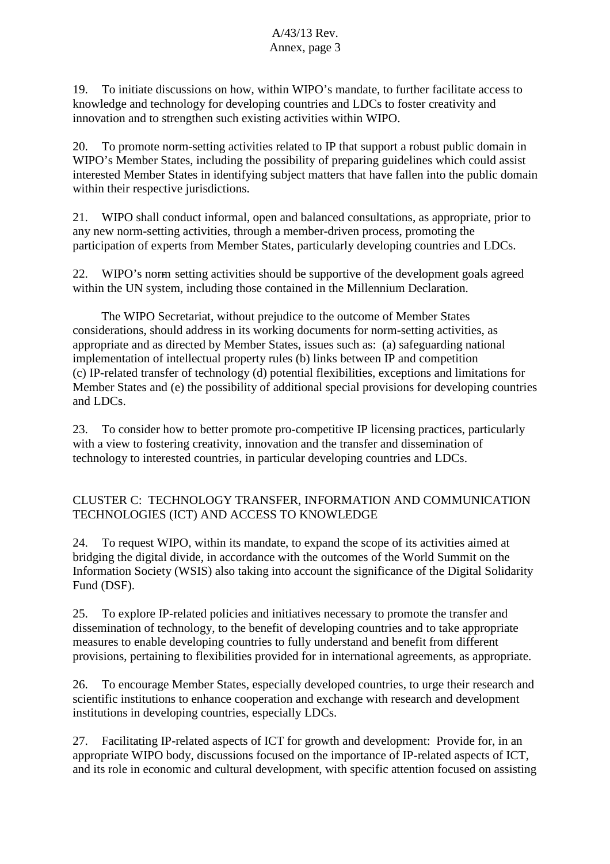19. To initiate discussions on how, within WIPO's mandate, to further facilitate access to knowledge and technology for developing countries and LDCs to foster creativity and innovation and to strengthen such existing activities within WIPO.

20. To promote norm-setting activities related to IP that support a robust public domain in WIPO's Member States, including the possibility of preparing guidelines which could assist interested Member States in identifying subject matters that have fallen into the public domain within their respective jurisdictions.

21. WIPO shall conduct informal, open and balanced consultations, as appropriate, prior to any new norm-setting activities, through a member-driven process, promoting the participation of experts from Member States, particularly developing countries and LDCs.

WIPO's norm-setting activities should be supportive of the development goals agreed within the UN system, including those contained in the Millennium Declaration.

The WIPO Secretariat, without prejudice to the outcome of Member States considerations, should address in its working documents for norm-setting activities, as appropriate and as directed by Member States, issues such as: (a) safeguarding national implementation of intellectual property rules (b) links between IP and competition (c) IP-related transfer of technology (d) potential flexibilities, exceptions and limitations for Member States and (e) the possibility of additional special provisions for developing countries and LDCs.

23. To consider how to better promote pro-competitive IP licensing practices, particularly with a view to fostering creativity, innovation and the transfer and dissemination of technology to interested countries, in particular developing countries and LDCs.

#### CLUSTER C: TECHNOLOGY TRANSFER, INFORMATION AND COMMUNICATION TECHNOLOGIES (ICT) AND ACCESS TO KNOWLEDGE

24. To request WIPO, within its mandate, to expand the scope of its activities aimed at bridging the digital divide, in accordance with the outcomes of the World Summit on the Information Society (WSIS) also taking into account the significance of the Digital Solidarity Fund (DSF).

25. To explore IP-related policies and initiatives necessary to promote the transfer and dissemination of technology, to the benefit of developing countries and to take appropriate measures to enable developing countries to fully understand and benefit from different provisions, pertaining to flexibilities provided for in international agreements, as appropriate.

26. To encourage Member States, especially developed countries, to urge their research and scientific institutions to enhance cooperation and exchange with research and development institutions in developing countries, especially LDCs.

27. Facilitating IP-related aspects of ICT for growth and development: Provide for, in an appropriate WIPO body, discussions focused on the importance of IP-related aspects of ICT, and its role in economic and cultural development, with specific attention focused on assisting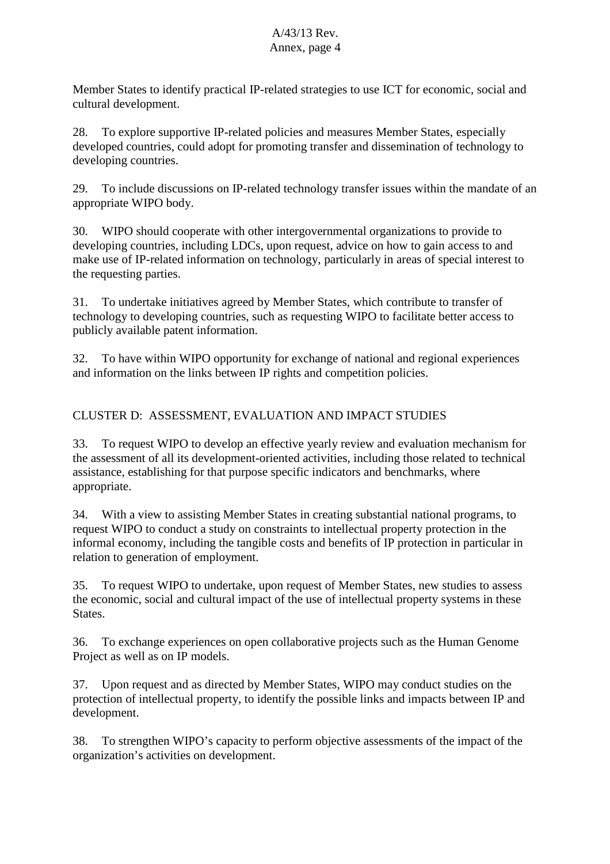Member States to identify practical IP-related strategies to use ICT for economic, social and cultural development.

28. To explore supportive IP-related policies and measures Member States, especially developed countries, could adopt for promoting transfer and dissemination of technology to developing countries.

29. To include discussions on IP-related technology transfer issues within the mandate of an appropriate WIPO body.

30. WIPO should cooperate with other intergovernmental organizations to provide to developing countries, including LDCs, upon request, advice on how to gain access to and make use of IP-related information on technology, particularly in areas of special interest to the requesting parties.

31. To undertake initiatives agreed by Member States, which contribute to transfer of technology to developing countries, such as requesting WIPO to facilitate better access to publicly available patent information.

32. To have within WIPO opportunity for exchange of national and regional experiences and information on the links between IP rights and competition policies.

# CLUSTER D: ASSESSMENT, EVALUATION AND IMPACT STUDIES

33. To request WIPO to develop an effective yearly review and evaluation mechanism for the assessment of all its development-oriented activities, including those related to technical assistance, establishing for that purpose specific indicators and benchmarks, where appropriate.

34. With a view to assisting Member States in creating substantial national programs, to request WIPO to conduct a study on constraints to intellectual property protection in the informal economy, including the tangible costs and benefits of IP protection in particular in relation to generation of employment.

35. To request WIPO to undertake, upon request of Member States, new studies to assess the economic, social and cultural impact of the use of intellectual property systems in these States.

36. To exchange experiences on open collaborative projects such as the Human Genome Project as well as on IP models.

37. Upon request and as directed by Member States, WIPO may conduct studies on the protection of intellectual property, to identify the possible links and impacts between IP and development.

38. To strengthen WIPO's capacity to perform objective assessments of the impact of the organization's activities on development.